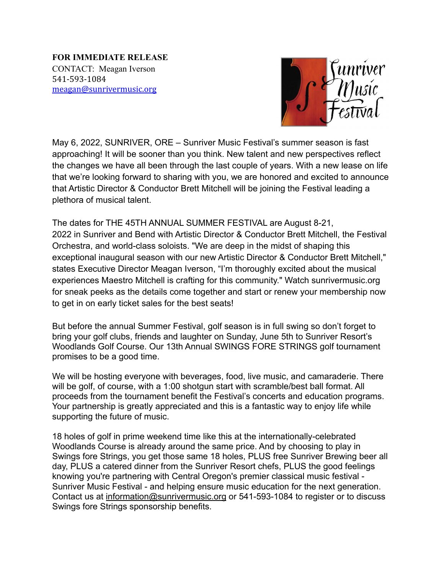**FOR IMMEDIATE RELEASE** CONTACT: Meagan Iverson 541-593-1084 [meagan@sunrivermusic.org](mailto:meagan@sunrivermusic.org)



May 6, 2022, SUNRIVER, ORE – Sunriver Music Festival's summer season is fast approaching! It will be sooner than you think. New talent and new perspectives reflect the changes we have all been through the last couple of years. With a new lease on life that we're looking forward to sharing with you, we are honored and excited to announce that Artistic Director & Conductor Brett Mitchell will be joining the Festival leading a plethora of musical talent.

The dates for THE 45TH ANNUAL SUMMER FESTIVAL are August 8-21, 2022 in Sunriver and Bend with Artistic Director & Conductor Brett Mitchell, the Festival Orchestra, and world-class soloists. "We are deep in the midst of shaping this exceptional inaugural season with our new Artistic Director & Conductor Brett Mitchell," states Executive Director Meagan Iverson, "I'm thoroughly excited about the musical experiences Maestro Mitchell is crafting for this community." Watch sunrivermusic.org for sneak peeks as the details come together and start or renew your membership now to get in on early ticket sales for the best seats!

But before the annual Summer Festival, golf season is in full swing so don't forget to bring your golf clubs, friends and laughter on Sunday, June 5th to Sunriver Resort's Woodlands Golf Course. Our 13th Annual SWINGS FORE STRINGS golf tournament promises to be a good time.

We will be hosting everyone with beverages, food, live music, and camaraderie. There will be golf, of course, with a 1:00 shotgun start with scramble/best ball format. All proceeds from the tournament benefit the Festival's concerts and education programs. Your partnership is greatly appreciated and this is a fantastic way to enjoy life while supporting the future of music.

18 holes of golf in prime weekend time like this at the internationally-celebrated Woodlands Course is already around the same price. And by choosing to play in Swings fore Strings, you get those same 18 holes, PLUS free Sunriver Brewing beer all day, PLUS a catered dinner from the [Sunriver Resort](https://www.sunriverresort.com/) chefs, PLUS the good feelings knowing you're partnering with Central Oregon's premier classical music festival - Sunriver Music Festival - and helping ensure music education for the next generation. Contact us at [information@sunrivermusic.org](mailto:information@sunrivermusic.org) or 541-593-1084 to register or to discuss Swings fore Strings sponsorship benefits.